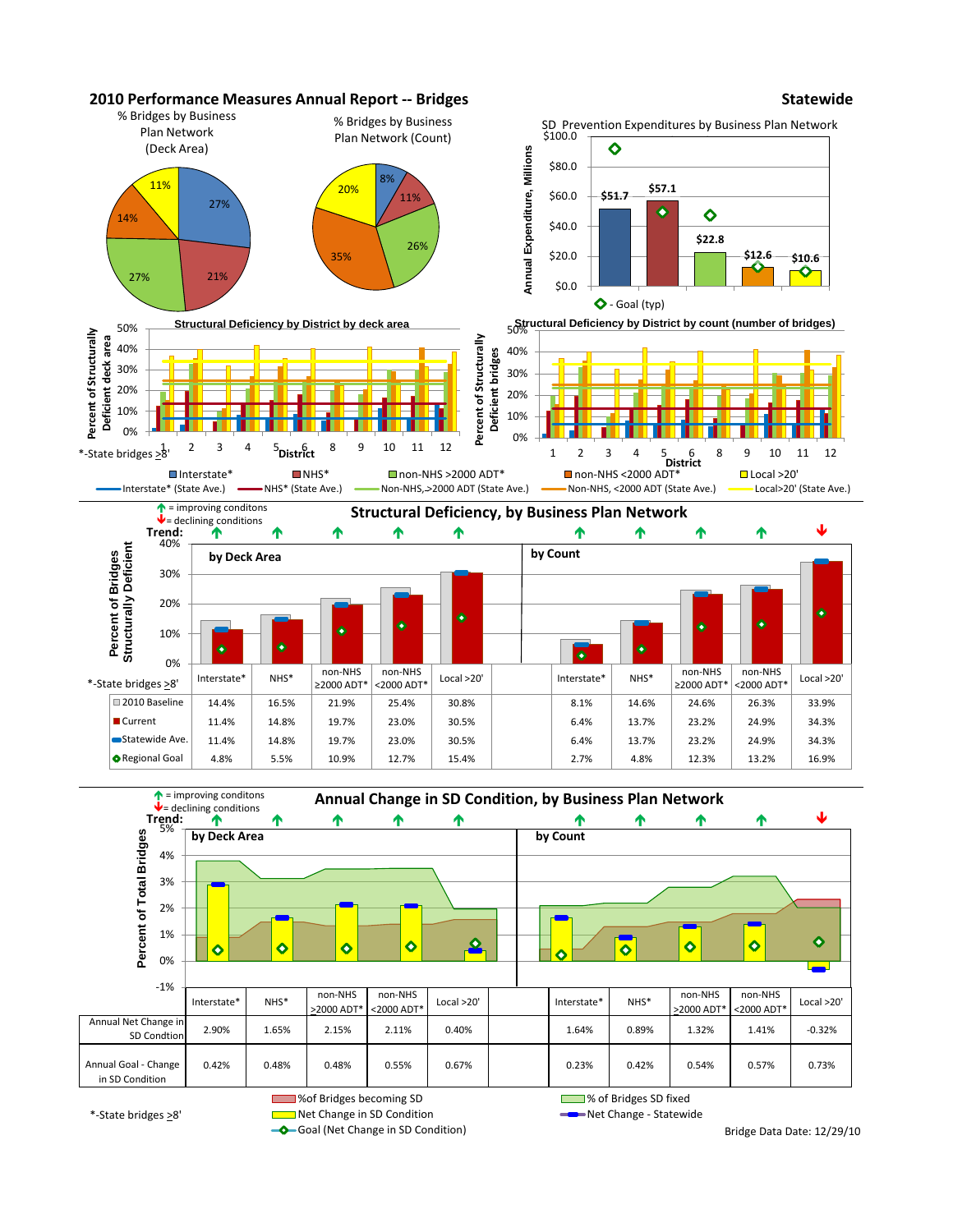



\*-State bridges >8'

Goal (Net Change in SD Condition)

Net Change in SD Condition Net Change - Statewide

Bridge Data Date: 12/29/10